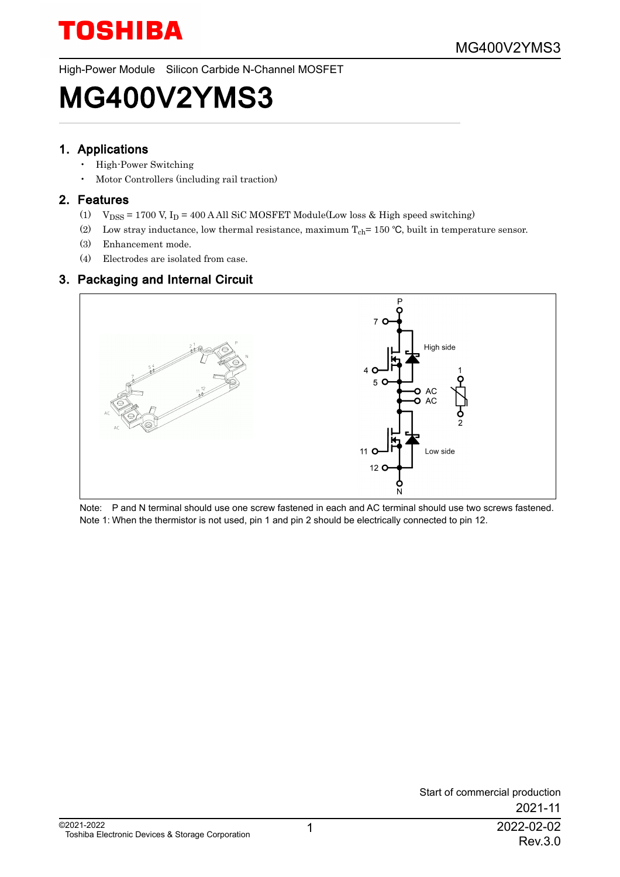High-Power Module Silicon Carbide N-Channel MOSFET

## MG400V2YMS3

#### 1. Applications

- High-Power Switching
- Motor Controllers (including rail traction)

#### 2. Features

- (1)  $\mathrm{V_{DSS}}$  = 1700 V, I<sub>D</sub> = 400 A All SiC MOSFET Module(Low loss & High speed switching)
- (2) Low stray inductance, low thermal resistance, maximum  $T_{ch}$  = 150 °C, built in temperature sensor.
- (3) Enhancement mode.
- (4) Electrodes are isolated from case.

#### 3. Packaging and Internal Circuit



Note: P and N terminal should use one screw fastened in each and AC terminal should use two screws fastened. Note 1: When the thermistor is not used, pin 1 and pin 2 should be electrically connected to pin 12.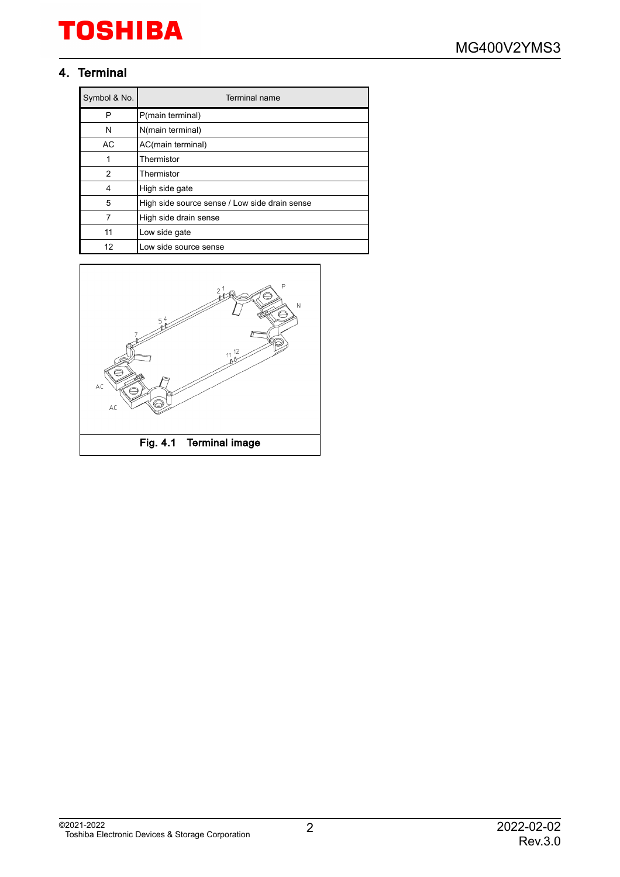#### 4. Terminal

| Symbol & No. | Terminal name                                 |
|--------------|-----------------------------------------------|
| P            | P(main terminal)                              |
| N            | N(main terminal)                              |
| AC           | AC(main terminal)                             |
| 1            | Thermistor                                    |
| 2            | Thermistor                                    |
| 4            | High side gate                                |
| 5            | High side source sense / Low side drain sense |
| 7            | High side drain sense                         |
| 11           | Low side gate                                 |
| 12           | Low side source sense                         |

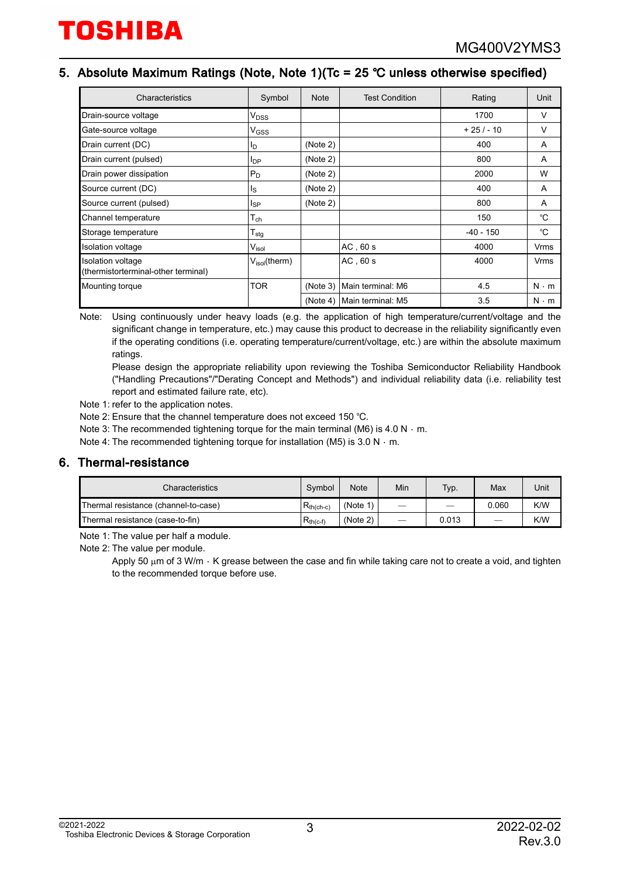#### 5. Absolute Maximum Ratings (Note, Note 1)(Tc = 25 � unless otherwise specified)

| Characteristics                                          | Symbol                          | <b>Note</b> | <b>Test Condition</b> | Rating      | Unit        |
|----------------------------------------------------------|---------------------------------|-------------|-----------------------|-------------|-------------|
| Drain-source voltage                                     | V <sub>DSS</sub>                |             |                       | 1700        | $\vee$      |
| Gate-source voltage                                      | V <sub>GSS</sub>                |             |                       | $+25/ - 10$ | $\vee$      |
| Drain current (DC)                                       | <sup>I</sup> D                  | (Note 2)    |                       | 400         | A           |
| Drain current (pulsed)                                   | <b>I</b> <sub>DP</sub>          | (Note 2)    |                       | 800         | A           |
| Drain power dissipation                                  | $P_D$                           | (Note 2)    |                       | 2000        | W           |
| Source current (DC)                                      | Is                              | (Note 2)    |                       | 400         | A           |
| Source current (pulsed)                                  | <sub>sp</sub>                   | (Note 2)    |                       | 800         | A           |
| Channel temperature                                      | $\mathsf{T}_{\mathsf{ch}}$      |             |                       | 150         | °C          |
| Storage temperature                                      | $\mathsf{r}_{\mathsf{stg}}$     |             |                       | $-40 - 150$ | °C          |
| <b>Isolation voltage</b>                                 | V <sub>isol</sub>               |             | $AC$ , 60 s           | 4000        | Vrms        |
| Isolation voltage<br>(thermistorterminal-other terminal) | $V_{\text{isol}}(\text{therm})$ |             | AC, 60s               | 4000        | Vrms        |
| Mounting torque                                          | <b>TOR</b>                      | (Note 3)    | Main terminal: M6     | 4.5         | $N \cdot m$ |
|                                                          |                                 | (Note 4)    | Main terminal: M5     | 3.5         | $N \cdot m$ |

Note: Using continuously under heavy loads (e.g. the application of high temperature/current/voltage and the significant change in temperature, etc.) may cause this product to decrease in the reliability significantly even if the operating conditions (i.e. operating temperature/current/voltage, etc.) are within the absolute maximum ratings.

Please design the appropriate reliability upon reviewing the Toshiba Semiconductor Reliability Handbook ("Handling Precautions"/"Derating Concept and Methods") and individual reliability data (i.e. reliability test report and estimated failure rate, etc).

Note 1: refer to the application notes.

- Note 2: Ensure that the channel temperature does not exceed 150 °C.
- Note 3: The recommended tightening torque for the main terminal (M6) is 4.0 N  $\cdot$  m.

Note 4: The recommended tightening torque for installation (M5) is 3.0 N  $\cdot$  m.

#### 6. Thermal-resistance

| Characteristics                                        |  | <b>Note</b> | Min                      | Typ.  | Max   | Unit |
|--------------------------------------------------------|--|-------------|--------------------------|-------|-------|------|
| $R_{th(ch-c)}$<br>Thermal resistance (channel-to-case) |  | (Note 1)    | -                        | -     | 0.060 | K/W  |
| Thermal resistance (case-to-fin)<br>$R_{th(c-f)}$      |  | (Note 2)    | $\overline{\phantom{m}}$ | 0.013 |       | K/W  |

Note 1: The value per half a module.

Note 2: The value per module.

Apply 50  $\mu$ m of 3 W/m  $\cdot$  K grease between the case and fin while taking care not to create a void, and tighten to the recommended torque before use.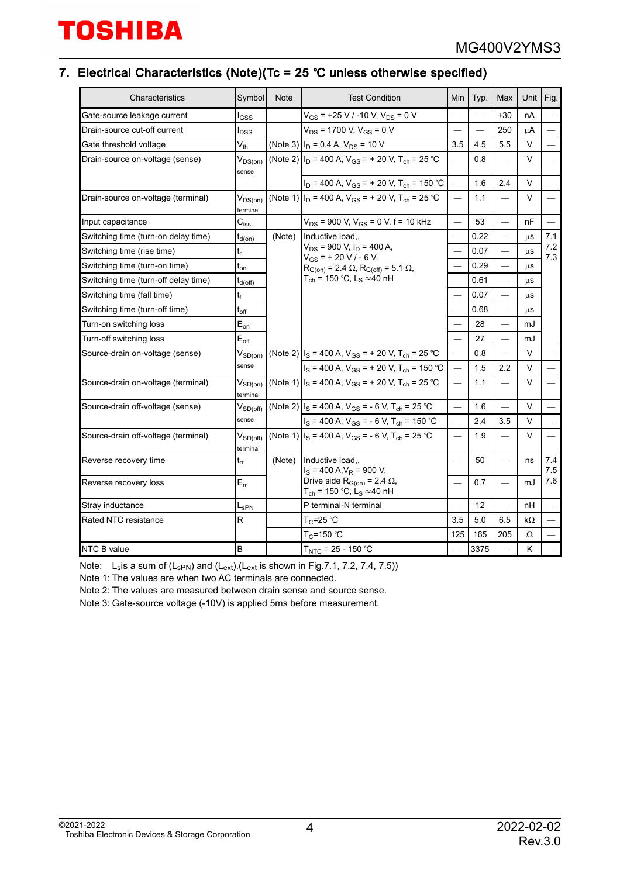#### 7. Electrical Characteristics (Note)(Tc = 25 � unless otherwise specified)

| Symbol<br>Characteristics                            |                             | <b>Note</b> | <b>Test Condition</b>                                                                     | Min                      | Typ.                     | Max                      | Unit       | Fig.                     |
|------------------------------------------------------|-----------------------------|-------------|-------------------------------------------------------------------------------------------|--------------------------|--------------------------|--------------------------|------------|--------------------------|
| Gate-source leakage current<br>l <sub>GSS</sub>      |                             |             | $V_{GS}$ = +25 V / -10 V, V <sub>DS</sub> = 0 V                                           |                          |                          | ±30                      | nA         |                          |
| Drain-source cut-off current<br>I <sub>DSS</sub>     |                             |             | $V_{DS}$ = 1700 V, V <sub>GS</sub> = 0 V                                                  |                          | $\overline{\phantom{0}}$ | 250                      | μA         |                          |
| $V_{th}$<br>Gate threshold voltage                   |                             |             | (Note 3) $I_D$ = 0.4 A, $V_{DS}$ = 10 V                                                   | 3.5                      | 4.5                      | 5.5                      | $\vee$     | $\overline{\phantom{0}}$ |
| Drain-source on-voltage (sense)                      | $V_{DS(on)}$<br>sense       |             | (Note 2) $I_D$ = 400 A, V <sub>GS</sub> = + 20 V, T <sub>ch</sub> = 25 °C                 |                          | 0.8                      |                          | V          |                          |
|                                                      |                             |             | $I_D$ = 400 A, $V_{GS}$ = + 20 V, T <sub>ch</sub> = 150 °C                                |                          | 1.6                      | 2.4                      | V          |                          |
| Drain-source on-voltage (terminal)                   | $V_{DS(on)}$<br>terminal    |             | (Note 1) $I_D$ = 400 A, V <sub>GS</sub> = + 20 V, T <sub>ch</sub> = 25 °C                 | $\qquad \qquad$          | 1.1                      | $\overline{\phantom{0}}$ | V          |                          |
| Input capacitance                                    | $C_{\text{iss}}$            |             | $V_{DS}$ = 900 V, $V_{GS}$ = 0 V, f = 10 kHz                                              |                          | 53                       |                          | nF         |                          |
| Switching time (turn-on delay time)                  | $t_{d(on)}$                 | (Note)      | Inductive load                                                                            |                          | 0.22                     | $\overline{\phantom{0}}$ | μS         | 7.1                      |
| Switching time (rise time)                           | $\mathfrak{t}_{\mathsf{r}}$ |             | $V_{DS}$ = 900 V, $I_D$ = 400 A,<br>$V_{GS}$ = + 20 V / - 6 V,                            |                          | 0.07                     |                          | $\mu$ S    | 7.2<br>7.3               |
| Switching time (turn-on time)                        | $t_{on}$                    |             | $R_{G(0n)} = 2.4 \Omega$ , $R_{G(0ff)} = 5.1 \Omega$ ,                                    |                          | 0.29                     | $\overline{\phantom{0}}$ | $\mu$ S    |                          |
| Switching time (turn-off delay time)<br>$t_{d(Off)}$ |                             |             | T <sub>ch</sub> = 150 °C, L <sub>S</sub> ≈ 40 nH                                          |                          | 0.61                     |                          | μS         |                          |
| Switching time (fall time)<br>t                      |                             |             |                                                                                           | $\overline{\phantom{0}}$ | 0.07                     |                          | $\mu$ S    |                          |
| Switching time (turn-off time)<br>$t_{off}$          |                             |             |                                                                                           |                          | 0.68                     | $\overline{\phantom{0}}$ | <b>LLS</b> |                          |
| $E_{on}$<br>Turn-on switching loss                   |                             |             |                                                                                           |                          | 28                       | $\overline{\phantom{0}}$ | mJ         |                          |
| Turn-off switching loss                              | $E_{\text{off}}$            |             |                                                                                           |                          | 27                       |                          | mJ         |                          |
| Source-drain on-voltage (sense)                      | $V_{SD(on)}$<br>sense       |             | (Note 2) $ I_S = 400 A$ , $V_{GS} = +20 V$ , $T_{ch} = 25 °C$                             |                          | 0.8                      | $\overline{\phantom{0}}$ | V          |                          |
|                                                      |                             |             | $I_S = 400$ A, $V_{GS} = +20$ V, $T_{ch} = 150$ °C                                        |                          | 1.5                      | 2.2                      | V          |                          |
| Source-drain on-voltage (terminal)                   | $V_{SD(on)}$<br>terminal    |             | (Note 1) $I_S$ = 400 A, V <sub>GS</sub> = + 20 V, T <sub>ch</sub> = 25 °C                 | $\overline{\phantom{0}}$ | 1.1                      | $\overline{\phantom{0}}$ | V          |                          |
| Source-drain off-voltage (sense)                     | $V_{SD(off)}$               |             | (Note 2) $I_S$ = 400 A, V <sub>GS</sub> = - 6 V, T <sub>ch</sub> = 25 °C                  | $\overline{\phantom{0}}$ | 1.6                      | $\overline{\phantom{0}}$ | V          |                          |
|                                                      | sense                       |             | $I_S = 400$ A, $V_{GS} = -6$ V, $T_{ch} = 150$ °C                                         | $\qquad \qquad$          | 2.4                      | 3.5                      | V          |                          |
| Source-drain off-voltage (terminal)                  | $V_{SD(off)}$<br>terminal   |             | (Note 1) $I_S$ = 400 A, V <sub>GS</sub> = - 6 V, T <sub>ch</sub> = 25 °C                  |                          | 1.9                      |                          | V          |                          |
| Reverse recovery time                                | $t_{rr}$                    | (Note)      | Inductive load<br>$I_S$ = 400 A, $V_R$ = 900 V,                                           |                          | 50                       | $\qquad \qquad$          | ns         | 7.4<br>7.5               |
| Reverse recovery loss                                | $E_{rr}$                    |             | Drive side $R_{G(0n)} = 2.4 \Omega$ ,<br>T <sub>ch</sub> = 150 °C, L <sub>S</sub> ≈ 40 nH |                          | 0.7                      | $\overline{\phantom{0}}$ | mJ         | 7.6                      |
| Stray inductance                                     | $L_{\rm SPN}$               |             | P terminal-N terminal                                                                     |                          | 12                       | $\qquad \qquad$          | nH         |                          |
| Rated NTC resistance                                 | R                           |             | $T_C$ =25 °C                                                                              | 3.5                      | 5.0                      | 6.5                      | kΩ         |                          |
|                                                      |                             |             | $T_C = 150 °C$                                                                            | 125                      | 165                      | 205                      | Ω          |                          |
| B<br>NTC B value                                     |                             |             | $T_{NTC}$ = 25 - 150 °C                                                                   |                          | 3375                     |                          | K          |                          |

Note: L<sub>s</sub>is a sum of (L<sub>sPN</sub>) and (L<sub>ext</sub>).(L<sub>ext</sub> is shown in Fig.7.1, 7.2, 7.4, 7.5))

Note 1: The values are when two AC terminals are connected.

Note 2: The values are measured between drain sense and source sense.

Note 3: Gate-source voltage (-10V) is applied 5ms before measurement.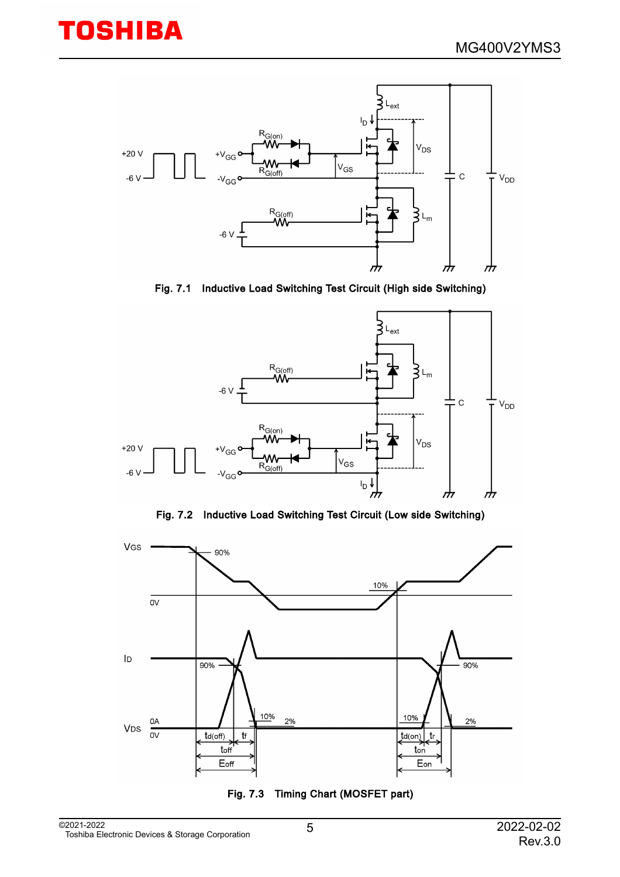



Fig. 7.1 Inductive Load Switching Test Circuit (High side Switching)



Fig. 7.2 Inductive Load Switching Test Circuit (Low side Switching)



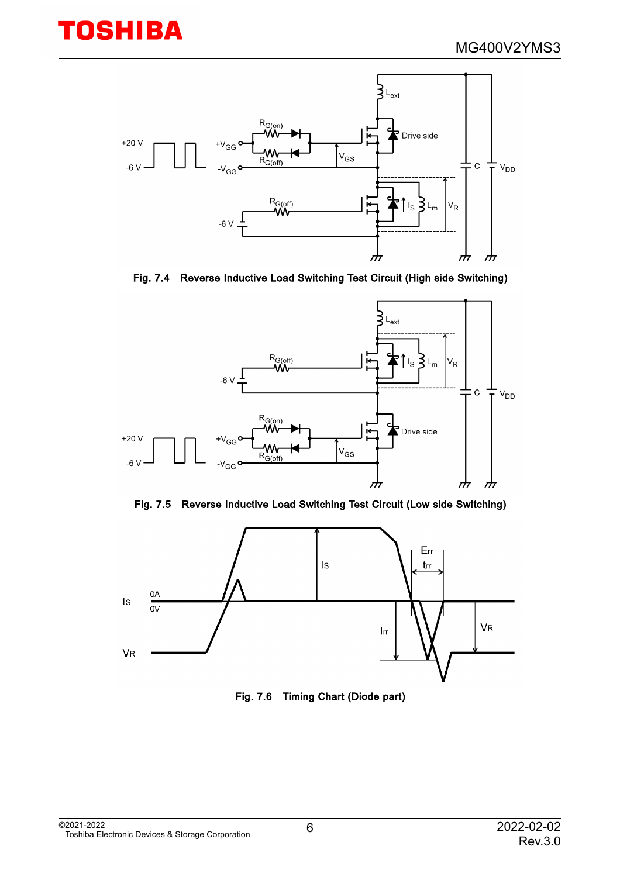

Fig. 7.4 Reverse Inductive Load Switching Test Circuit (High side Switching)







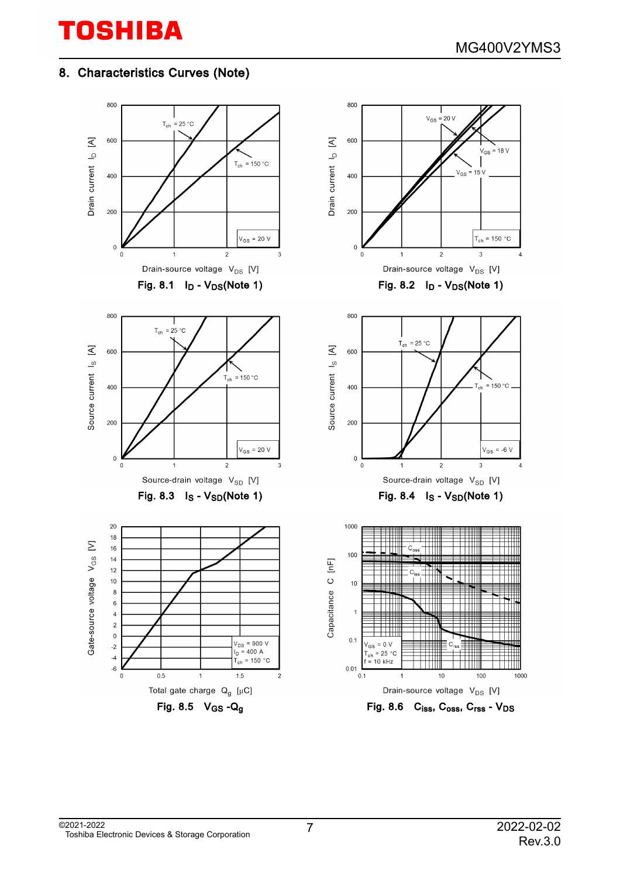#### 8. Characteristics Curves (Note)

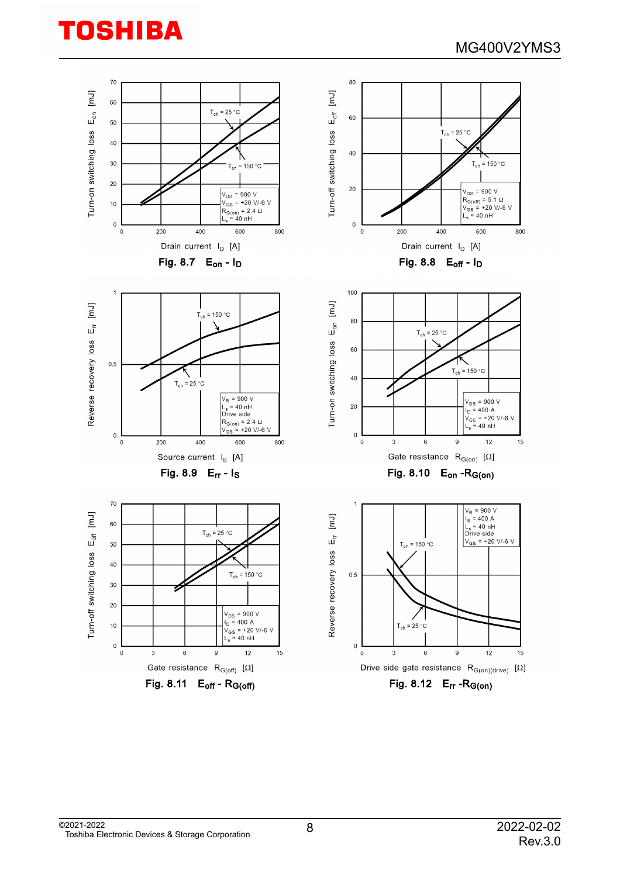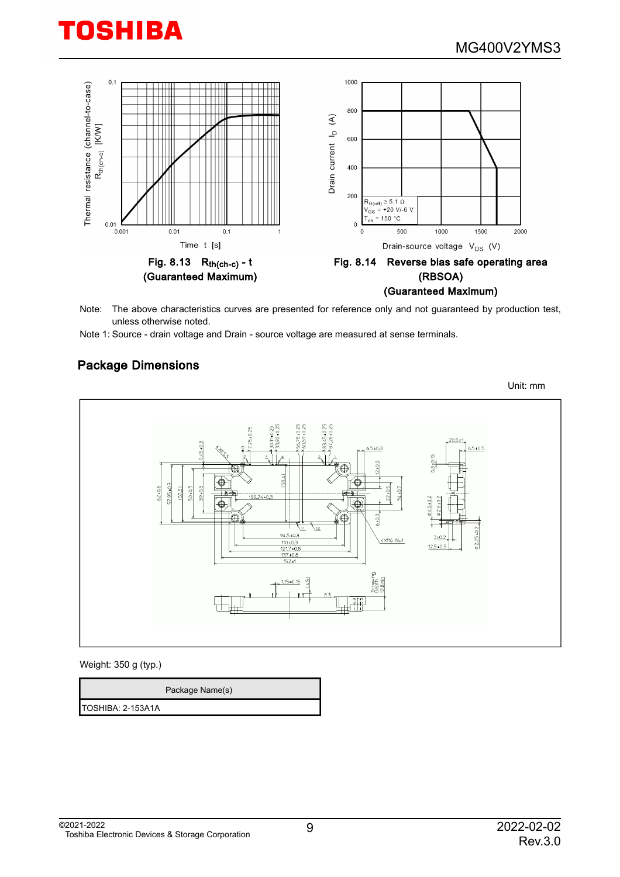

Note: The above characteristics curves are presented for reference only and not guaranteed by production test, unless otherwise noted.

Note 1: Source - drain voltage and Drain - source voltage are measured at sense terminals.

#### Package Dimensions

Unit: mm  $6.5 + 0.3$  $6.5 \pm 0.5$ € 57.95±0.3  $-0.05$  $52 * 0.8$  $57.5$ 59+0.3 €  $\sqrt{12}$  $2.25 + 0.2$  $94.5 \pm 0.3$  $3+0$ 4XM6 Nut  $12.5 - 0$  $\frac{121.740}{137 + 0.8}$  $152 +$  $1.15 * 0.15$  $\widehat{5}$ perewire <u>918</u>

Weight: 350 g (typ.)

|                   | Package Name(s) |
|-------------------|-----------------|
| TOSHIBA: 2-153A1A |                 |

©2021-2022 Toshiba Electronic Devices & Storage Corporation